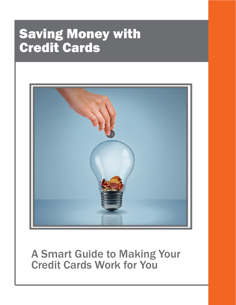## Saving Money with Credit Cards



A Smart Guide to Making Your Credit Cards Work for You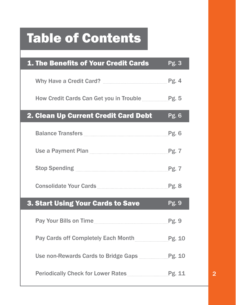# Table of Contents

| <b>1. The Benefits of Your Credit Cards</b>                             | Pg. 3        |
|-------------------------------------------------------------------------|--------------|
|                                                                         | <b>Pg. 4</b> |
| How Credit Cards Can Get you in Trouble <b>Example</b> Pg. 5            |              |
| <b>2. Clean Up Current Credit Card Debt</b>                             | <b>Pg. 6</b> |
|                                                                         | <b>Pg. 6</b> |
|                                                                         | Pg. 7        |
|                                                                         | Pg. 7        |
|                                                                         | <b>Pg. 8</b> |
| <b>3. Start Using Your Cards to Save</b>                                | <b>Pg. 9</b> |
|                                                                         | <b>Pg. 9</b> |
| Pay Cards off Completely Each Month Pay Cards off Completely Each Month |              |
|                                                                         |              |
|                                                                         |              |

2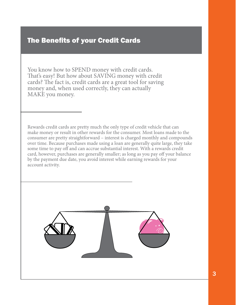#### <span id="page-2-0"></span>The Benefits of your Credit Cards

You know how to SPEND money with credit cards. That's easy! But how about SAVING money with credit cards? The fact is, credit cards are a great tool for saving money and, when used correctly, they can actually MAKE you money.

Rewards credit cards are pretty much the only type of credit vehicle that can make money or result in other rewards for the consumer. Most loans made to the consumer are pretty straightforward – interest is charged monthly and compounds over time. Because purchases made using a loan are generally quite large, they take some time to pay off and can accrue substantial interest. With a rewards credit card, however, purchases are generally smaller; as long as you pay off your balance by the payment due date, you avoid interest while earning rewards for your account activity.

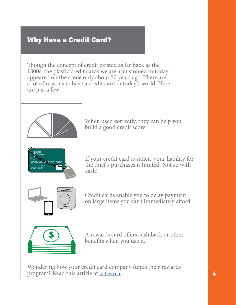## <span id="page-3-0"></span>Why Have a Credit Card?

Though the concept of credit existed as far back as the 1800s, the plastic credit cards we are accustomed to today appeared on the scene only about 50 years ago. There are a lot of reasons to have a credit card in today's world. Here are just a few:



xxxx xxxx xxxx xxxx VERMONT *Platinum* <sub>09/19</sub><br>Jane Smith

When used correctly, they can help you build a good credit score.

If your credit card is stolen, your liability for the thief 's purchases is limited. Not so with cash!



Credit cards enable you to delay payment on large items you can't immediately afford.



A rewards card offers cash back or other benefits when you use it.

Wondering how your credit card company funds their rewards program? Read this article at f[orbes.com](http://www.forbes.com/sites/robertharrow/2016/02/11/whos-paying-for-your-credit-card-rewards/#72706c5a3e42).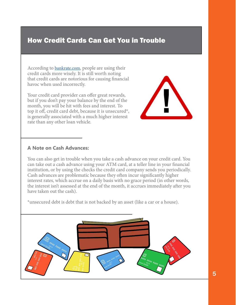#### <span id="page-4-0"></span>How Credit Cards Can Get You in Trouble

According to [bankrate.com,](http://www.bankrate.com/financing/credit-cards/americans-credit-card-use-evolving/) people are using their credit cards more wisely. It is still worth noting that credit cards are notorious for causing financial havoc when used incorrectly.

Your credit card provider can offer great rewards, but if you don't pay your balance by the end of the month, you will be hit with fees and interest. To top it off, credit card debt, because it is unsecured\*, is generally associated with a much higher interest rate than any other loan vehicle.



#### **A Note on Cash Advances:**

You can also get in trouble when you take a cash advance on your credit card. You can take out a cash advance using your ATM card, at a teller line in your financial institution, or by using the checks the credit card company sends you periodically. Cash advances are problematic because they often incur significantly higher interest rates, which accrue on a daily basis with no grace period (in other words, the interest isn't assessed at the end of the month, it accrues immediately after you have taken out the cash).

\*unsecured debt is debt that is not backed by an asset (like a car or a house).

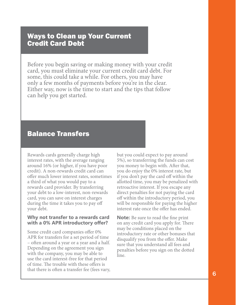#### <span id="page-5-0"></span>Ways to Clean up Your Current Credit Card Debt

Before you begin saving or making money with your credit card, you must eliminate your current credit card debt. For some, this could take a while. For others, you may have only a few months of payments before you're in the clear. Either way, now is the time to start and the tips that follow can help you get started.

#### <span id="page-5-1"></span>Balance Transfers

Rewards cards generally charge high interest rates, with the average ranging around 16% (or higher, if you have poor credit). A non-rewards credit card can offer much lower interest rates, sometimes a third of what you would pay to a rewards card provider. By transferring your debt to a low-interest, non-rewards card, you can save on interest charges during the time it takes you to pay off your debt.

#### **Why not transfer to a rewards card with a 0% APR introductory offer?**

Some credit card companies offer 0% APR for transfers for a set period of time – often around a year or a year and a half. Depending on the agreement you sign with the company, you may be able to use the card interest-free for that period of time. The trouble with these offers is that there is often a transfer fee (fees vary,

but you could expect to pay around 5%), so transferring the funds can cost you money to begin with. After that, you do enjoy the 0% interest rate, but if you don't pay the card off within the allotted time, you may be penalized with retroactive interest. If you escape any direct penalties for not paying the card off within the introductory period, you will be responsible for paying the higher interest rate once the offer has ended.

**Note:** Be sure to read the fine print on any credit card you apply for. There may be conditions placed on the introductory rate or other bonuses that disqualify you from the offer. Make sure that you understand all fees and penalties before you sign on the dotted line.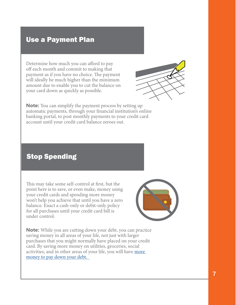#### <span id="page-6-0"></span>Use a Payment Plan

Determine how much you can afford to pay off each month and commit to making that payment as if you have no choice. The payment will ideally be much higher than the minimum amount due to enable you to cut the balance on your card down as quickly as possible.



**Note:** You can simplify the payment process by setting up automatic payments, through your financial institution's online banking portal, to post monthly payments to your credit card account until your credit card balance zeroes out.

#### <span id="page-6-1"></span>Stop Spending

This may take some self-control at first, but the point here is to save, or even make, money using your credit cards and spending more money won't help you achieve that until you have a zero balance. Enact a cash-only or debit-only policy for all purchases until your credit card bill is under control.



**Note:** While you are cutting down your debt, you can practice saving money in all areas of your life, not just with larger purchases that you might normally have placed on your credit card. By saving more money on utilities, groceries, social activities, and in other areas of your life, you will have more [money to pay down your debt.](http://http://blog.vsecu.com/nine-thrifty-ideas-for-getting-ahead-on-payments)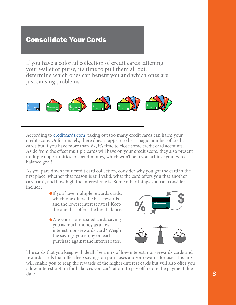#### <span id="page-7-0"></span>Consolidate Your Cards

If you have a colorful collection of credit cards fattening your wallet or purse, it's time to pull them all out, determine which ones can benefit you and which ones are just causing problems.



According to c[reditcards.com](http://http://www.creditcards.com/), taking out too many credit cards can harm your credit score. Unfortunately, there doesn't appear to be a magic number of credit cards but if you have more than six, it's time to close some credit card accounts. Aside from the effect multiple cards will have on your credit score, they also present multiple opportunities to spend money, which won't help you achieve your zerobalance goal!

As you pare down your credit card collection, consider why you got the card in the first place, whether that reason is still valid, what the card offers you that another card can't, and how high the interest rate is. Some other things you can consider include:

- **OIf you have multiple rewards cards,** which one offers the best rewards and the lowest interest rates? Keep the one that offers the best balance.
- **Are your store-issued cards saving** you as much money as a lowinterest, non-rewards card? Weigh the savings you enjoy on each purchase against the interest rates.





The cards that you keep will ideally be a mix of low-interest, non-rewards cards and rewards cards that offer deep savings on purchases and/or rewards for use. This mix will enable you to reap the rewards of the higher-interest cards but will also offer you a low-interest option for balances you can't afford to pay off before the payment due date.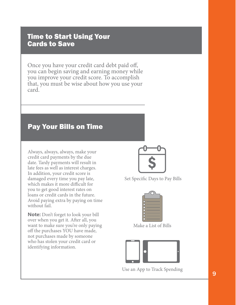#### <span id="page-8-0"></span>Time to Start Using Your Cards to Save

Once you have your credit card debt paid off, you can begin saving and earning money while you improve your credit score. To accomplish that, you must be wise about how you use your card.

#### <span id="page-8-1"></span>Pay Your Bills on Time

Always, always, always, make your credit card payments by the due date. Tardy payments will result in late fees as well as interest charges. In addition, your credit score is damaged every time you pay late, which makes it more difficult for you to get good interest rates on loans or credit cards in the future. Avoid paying extra by paying on time without fail.

**Note:** Don't forget to look your bill over when you get it. After all, you want to make sure you're only paying off the purchases YOU have made, not purchases made by someone who has stolen your credit card or identifying information.



Set Specific Days to Pay Bills



Make a List of Bills



Use an App to Track Spending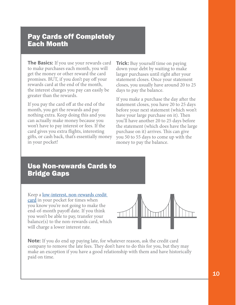#### <span id="page-9-0"></span>Pay Cards off Completely Each Month

**The Basics:** If you use your rewards card to make purchases each month, you will get the money or other reward the card promises. BUT, if you don't pay off your rewards card at the end of the month, the interest charges you pay can easily be greater than the rewards.

If you pay the card off at the end of the month, you get the rewards and pay nothing extra. Keep doing this and you can actually make money because you won't have to pay interest or fees. If the card gives you extra flights, interesting gifts, or cash back, that's essentially money in your pocket!

**Trick:** Buy yourself time on paying down your debt by waiting to make larger purchases until right after your statement closes. Once your statement closes, you usually have around 20 to 25 days to pay the balance.

If you make a purchase the day after the statement closes, you have 20 to 25 days before your next statement (which won't have your large purchase on it). Then you'll have another 20 to 25 days before the statement (which does have the large purchase on it) arrives. This can give you 50 to 55 days to come up with the money to pay the balance.

#### <span id="page-9-1"></span>Use Non-rewards Cards to Bridge Gaps

Keep a [low-interest, non-rewards credit](https://www.vsecu.com/loans/credit-cards--credit-lines/credit-cards/vermont-platinum-credit-card/overviewhttp://)  [card](https://www.vsecu.com/loans/credit-cards--credit-lines/credit-cards/vermont-platinum-credit-card/overviewhttp://) in your pocket for times when you know you're not going to make the end-of-month payoff date. If you think you won't be able to pay, transfer your balance(s) to the non-rewards card, which will charge a lower interest rate.



**Note:** If you do end up paying late, for whatever reason, ask the credit card company to remove the late fees. They don't have to do this for you, but they may make an exception if you have a good relationship with them and have historically paid on time.